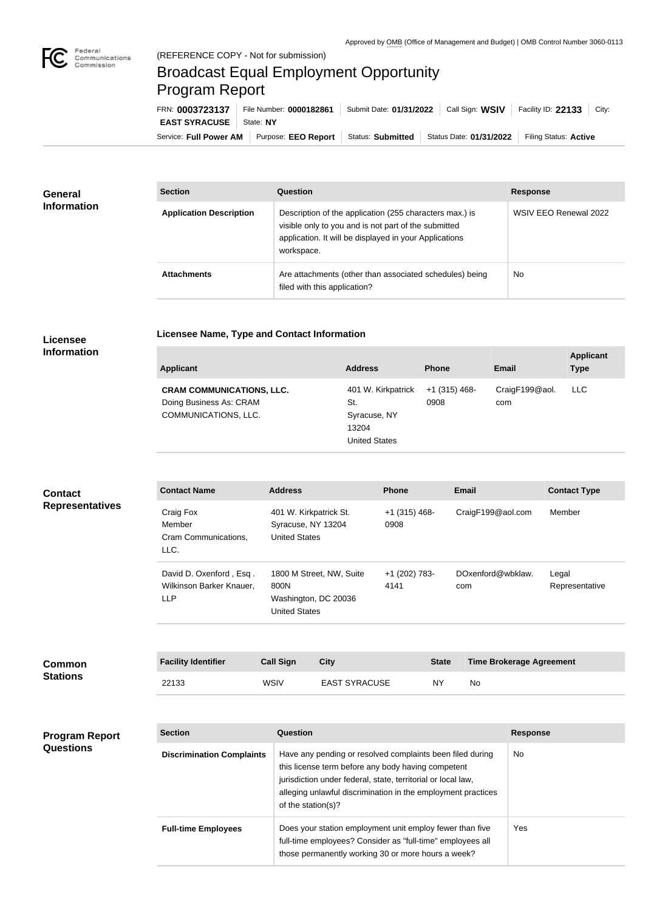

n.

## Broadcast Equal Employment Opportunity Program Report

Service: Full Power AM | Purpose: EEO Report | Status: Submitted | Status Date: 01/31/2022 | Filing Status: Active **EAST SYRACUSE** | State: NY FRN: **0003723137** File Number: **0000182861** Submit Date: **01/31/2022** Call Sign: **WSIV** Facility ID: **22133** City:

| <b>General</b><br><b>Information</b> | <b>Section</b>                 | <b>Question</b>                                                                                                                                                                         | <b>Response</b>       |
|--------------------------------------|--------------------------------|-----------------------------------------------------------------------------------------------------------------------------------------------------------------------------------------|-----------------------|
|                                      | <b>Application Description</b> | Description of the application (255 characters max.) is<br>visible only to you and is not part of the submitted<br>application. It will be displayed in your Applications<br>workspace. | WSIV EEO Renewal 2022 |
|                                      | <b>Attachments</b>             | Are attachments (other than associated schedules) being<br>filed with this application?                                                                                                 | <b>No</b>             |

**Licensee Name, Type and Contact Information**

## **Licensee Information**

| <b>Applicant</b>                                                                    | <b>Address</b>                                                             | <b>Phone</b>            | <b>Email</b>          | <b>Applicant</b><br><b>Type</b> |
|-------------------------------------------------------------------------------------|----------------------------------------------------------------------------|-------------------------|-----------------------|---------------------------------|
| <b>CRAM COMMUNICATIONS, LLC.</b><br>Doing Business As: CRAM<br>COMMUNICATIONS, LLC. | 401 W. Kirkpatrick<br>St.<br>Syracuse, NY<br>13204<br><b>United States</b> | $+1$ (315) 468-<br>0908 | CraigF199@aol.<br>com | <b>LLC</b>                      |

| <b>Contact</b><br><b>Representatives</b> | <b>Contact Name</b>                                               | <b>Address</b>                                                                   | <b>Phone</b>            | <b>Email</b>             | <b>Contact Type</b>     |
|------------------------------------------|-------------------------------------------------------------------|----------------------------------------------------------------------------------|-------------------------|--------------------------|-------------------------|
|                                          | Craig Fox<br>Member<br>Cram Communications,<br>LLC.               | 401 W. Kirkpatrick St.<br>Syracuse, NY 13204<br><b>United States</b>             | $+1$ (315) 468-<br>0908 | CraigF199@aol.com        | Member                  |
|                                          | David D. Oxenford, Esq.<br>Wilkinson Barker Knauer,<br><b>LLP</b> | 1800 M Street, NW, Suite<br>800N<br>Washington, DC 20036<br><b>United States</b> | +1 (202) 783-<br>4141   | DOxenford@wbklaw.<br>com | Legal<br>Representative |

| <b>Common</b><br><b>Stations</b> | <b>Facility Identifier</b> | <b>Call Sign</b> | City                 | <b>State</b> | <b>Time Brokerage Agreement</b> |
|----------------------------------|----------------------------|------------------|----------------------|--------------|---------------------------------|
|                                  | 22133                      | WSIV             | <b>EAST SYRACUSE</b> | ΝY           | No                              |

## **Program Report Questions**

| <b>Section</b>                   | Question                                                                                                                                                                                                                                                              | <b>Response</b> |
|----------------------------------|-----------------------------------------------------------------------------------------------------------------------------------------------------------------------------------------------------------------------------------------------------------------------|-----------------|
| <b>Discrimination Complaints</b> | Have any pending or resolved complaints been filed during<br>this license term before any body having competent<br>jurisdiction under federal, state, territorial or local law,<br>alleging unlawful discrimination in the employment practices<br>of the station(s)? | No.             |
| <b>Full-time Employees</b>       | Does your station employment unit employ fewer than five<br>full-time employees? Consider as "full-time" employees all<br>those permanently working 30 or more hours a week?                                                                                          | Yes             |